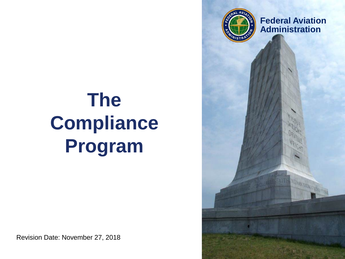

**Federal Aviation Administration**

# **The Compliance Program**

Revision Date: November 27, 2018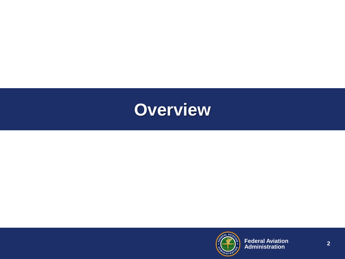

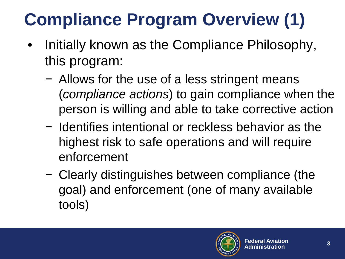## **Compliance Program Overview (1)**

- Initially known as the Compliance Philosophy, this program:
	- − Allows for the use of a less stringent means (*compliance actions*) to gain compliance when the person is willing and able to take corrective action
	- − Identifies intentional or reckless behavior as the highest risk to safe operations and will require enforcement
	- − Clearly distinguishes between compliance (the goal) and enforcement (one of many available tools)

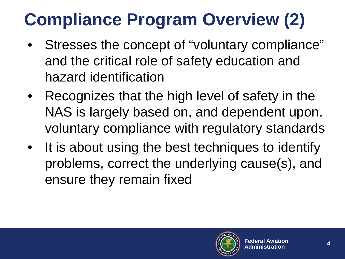## **Compliance Program Overview (2)**

- Stresses the concept of "voluntary compliance" and the critical role of safety education and hazard identification
- Recognizes that the high level of safety in the NAS is largely based on, and dependent upon, voluntary compliance with regulatory standards
- It is about using the best techniques to identify problems, correct the underlying cause(s), and ensure they remain fixed

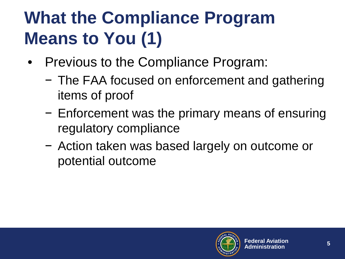#### **What the Compliance Program Means to You (1)**

- Previous to the Compliance Program:
	- − The FAA focused on enforcement and gathering items of proof
	- − Enforcement was the primary means of ensuring regulatory compliance
	- − Action taken was based largely on outcome or potential outcome

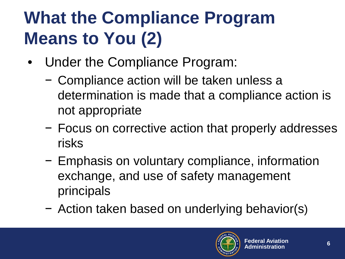### **What the Compliance Program Means to You (2)**

- Under the Compliance Program:
	- − Compliance action will be taken unless a determination is made that a compliance action is not appropriate
	- − Focus on corrective action that properly addresses risks
	- − Emphasis on voluntary compliance, information exchange, and use of safety management principals
	- − Action taken based on underlying behavior(s)

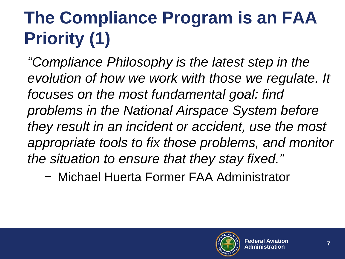## **The Compliance Program is an FAA Priority (1)**

*"Compliance Philosophy is the latest step in the evolution of how we work with those we regulate. It focuses on the most fundamental goal: find problems in the National Airspace System before they result in an incident or accident, use the most appropriate tools to fix those problems, and monitor the situation to ensure that they stay fixed."*

− Michael Huerta Former FAA Administrator

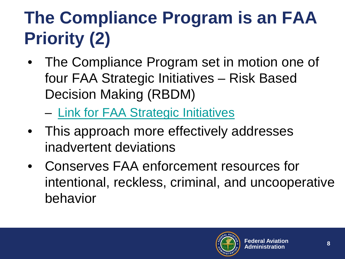# **The Compliance Program is an FAA Priority (2)**

The Compliance Program set in motion one of four FAA Strategic Initiatives – Risk Based Decision Making (RBDM)

– [Link for FAA Strategic Initiatives](https://www.faa.gov/about/plans_reports/media/FAA_Strategic_Initiatives_Summary.pdf)

- This approach more effectively addresses inadvertent deviations
- Conserves FAA enforcement resources for intentional, reckless, criminal, and uncooperative behavior

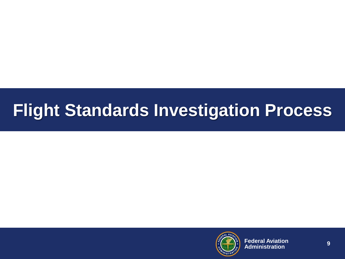#### **Flight Standards Investigation Process**

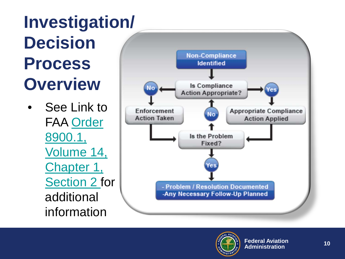#### **Investigation / Decision Process Overview**

See Link to FAA Order 8900.1, [Volume 14,](http://fsims.faa.gov/PICDetail.aspx?docId=8900.1,Vol.14,Ch1,Sec2) Chapter 1, Section 2 for additional information



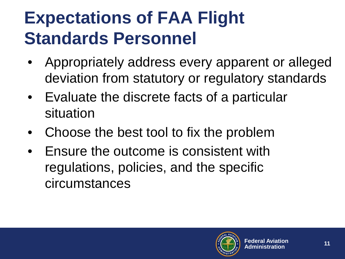#### **Expectations of FAA Flight Standards Personnel**

- Appropriately address every apparent or alleged deviation from statutory or regulatory standards
- Evaluate the discrete facts of a particular situation
- Choose the best tool to fix the problem
- Ensure the outcome is consistent with regulations, policies, and the specific circumstances

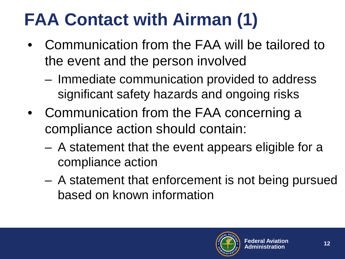## **FAA Contact with Airman (1)**

- Communication from the FAA will be tailored to the event and the person involved
	- Immediate communication provided to address significant safety hazards and ongoing risks
- Communication from the FAA concerning a compliance action should contain:
	- A statement that the event appears eligible for a compliance action
	- A statement that enforcement is not being pursued based on known information

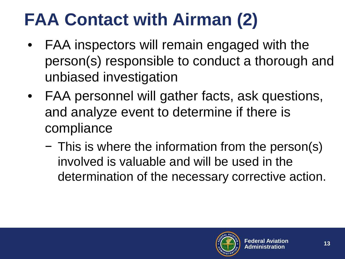## **FAA Contact with Airman (2)**

- FAA inspectors will remain engaged with the person(s) responsible to conduct a thorough and unbiased investigation
- FAA personnel will gather facts, ask questions, and analyze event to determine if there is compliance
	- − This is where the information from the person(s) involved is valuable and will be used in the determination of the necessary corrective action.

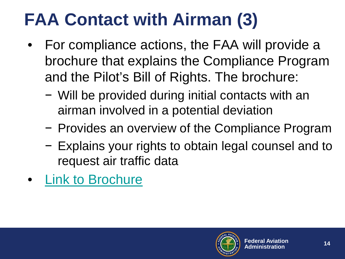## **FAA Contact with Airman (3)**

- For compliance actions, the FAA will provide a brochure that explains the Compliance Program and the Pilot's Bill of Rights. The brochure:
	- − Will be provided during initial contacts with an airman involved in a potential deviation
	- − Provides an overview of the Compliance Program
	- − Explains your rights to obtain legal counsel and to request air traffic data
- **[Link to Brochure](https://www.faa.gov/about/initiatives/cp/media/CP_Brochure.pdf)**

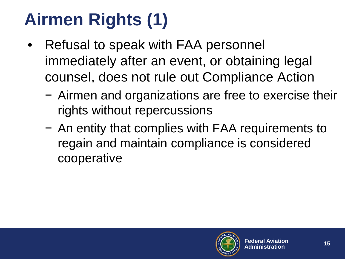# **Airmen Rights (1)**

- Refusal to speak with FAA personnel immediately after an event, or obtaining legal counsel, does not rule out Compliance Action
	- − Airmen and organizations are free to exercise their rights without repercussions
	- − An entity that complies with FAA requirements to regain and maintain compliance is considered cooperative

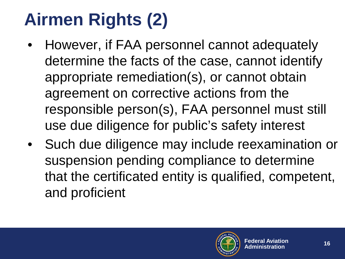# **Airmen Rights (2)**

- However, if FAA personnel cannot adequately determine the facts of the case, cannot identify appropriate remediation(s), or cannot obtain agreement on corrective actions from the responsible person(s), FAA personnel must still use due diligence for public's safety interest
- Such due diligence may include reexamination or suspension pending compliance to determine that the certificated entity is qualified, competent, and proficient

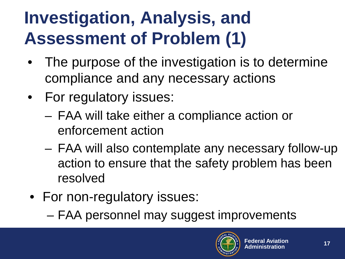#### **Investigation, Analysis, and Assessment of Problem (1)**

- The purpose of the investigation is to determine compliance and any necessary actions
- For regulatory issues:
	- FAA will take either a compliance action or enforcement action
	- FAA will also contemplate any necessary follow-up action to ensure that the safety problem has been resolved
- For non-regulatory issues:
	- FAA personnel may suggest improvements

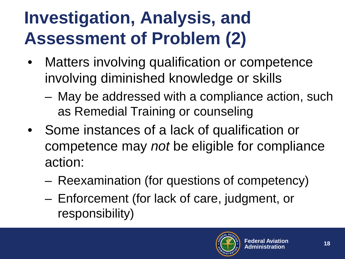#### **Investigation, Analysis, and Assessment of Problem (2)**

- Matters involving qualification or competence involving diminished knowledge or skills
	- May be addressed with a compliance action, such as Remedial Training or counseling
- Some instances of a lack of qualification or competence may *not* be eligible for compliance action:
	- Reexamination (for questions of competency)
	- Enforcement (for lack of care, judgment, or responsibility)

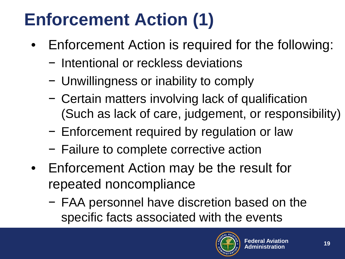## **Enforcement Action (1)**

- Enforcement Action is required for the following:
	- − Intentional or reckless deviations
	- − Unwillingness or inability to comply
	- − Certain matters involving lack of qualification (Such as lack of care, judgement, or responsibility)
	- − Enforcement required by regulation or law
	- − Failure to complete corrective action
- Enforcement Action may be the result for repeated noncompliance
	- − FAA personnel have discretion based on the specific facts associated with the events

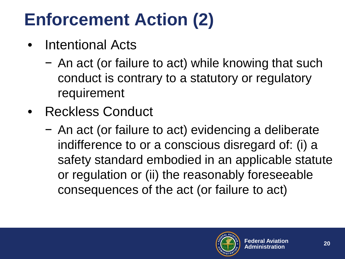## **Enforcement Action (2)**

- Intentional Acts
	- − An act (or failure to act) while knowing that such conduct is contrary to a statutory or regulatory requirement
- Reckless Conduct
	- − An act (or failure to act) evidencing a deliberate indifference to or a conscious disregard of: (i) a safety standard embodied in an applicable statute or regulation or (ii) the reasonably foreseeable consequences of the act (or failure to act)

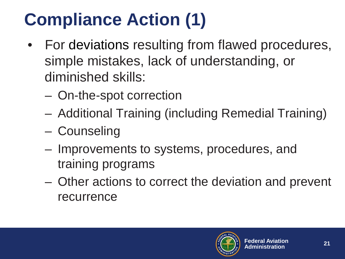# **Compliance Action (1)**

- For deviations resulting from flawed procedures, simple mistakes, lack of understanding, or diminished skills:
	- On-the-spot correction
	- Additional Training (including Remedial Training)
	- Counseling
	- Improvements to systems, procedures, and training programs
	- Other actions to correct the deviation and prevent recurrence

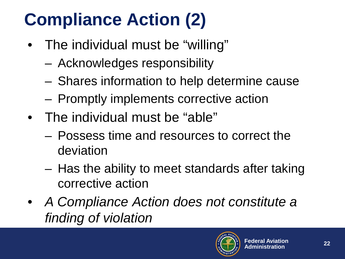## **Compliance Action (2)**

- The individual must be "willing"
	- Acknowledges responsibility
	- Shares information to help determine cause
	- Promptly implements corrective action
- The individual must be "able"
	- Possess time and resources to correct the deviation
	- Has the ability to meet standards after taking corrective action
- *A Compliance Action does not constitute a finding of violation*

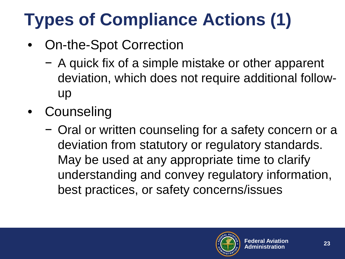# **Types of Compliance Actions (1)**

- On-the-Spot Correction
	- − A quick fix of a simple mistake or other apparent deviation, which does not require additional followup
- Counseling
	- − Oral or written counseling for a safety concern or a deviation from statutory or regulatory standards. May be used at any appropriate time to clarify understanding and convey regulatory information, best practices, or safety concerns/issues

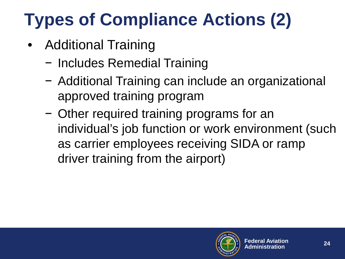# **Types of Compliance Actions (2)**

- Additional Training
	- − Includes Remedial Training
	- − Additional Training can include an organizational approved training program
	- − Other required training programs for an individual's job function or work environment (such as carrier employees receiving SIDA or ramp driver training from the airport)

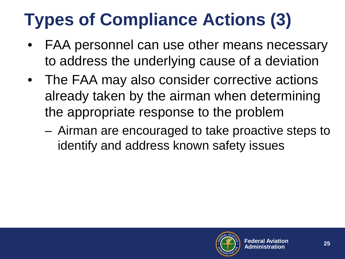## **Types of Compliance Actions (3)**

- FAA personnel can use other means necessary to address the underlying cause of a deviation
- The FAA may also consider corrective actions already taken by the airman when determining the appropriate response to the problem
	- Airman are encouraged to take proactive steps to identify and address known safety issues

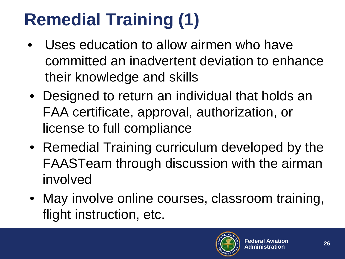## **Remedial Training (1)**

- Uses education to allow airmen who have committed an inadvertent deviation to enhance their knowledge and skills
- Designed to return an individual that holds an FAA certificate, approval, authorization, or license to full compliance
- Remedial Training curriculum developed by the FAASTeam through discussion with the airman involved
- May involve online courses, classroom training, flight instruction, etc.

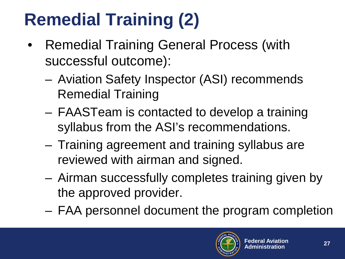# **Remedial Training (2)**

- Remedial Training General Process (with successful outcome):
	- Aviation Safety Inspector (ASI) recommends Remedial Training
	- FAASTeam is contacted to develop a training syllabus from the ASI's recommendations.
	- Training agreement and training syllabus are reviewed with airman and signed.
	- Airman successfully completes training given by the approved provider.
	- FAA personnel document the program completion

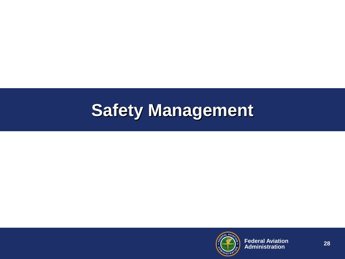#### **Safety Management**

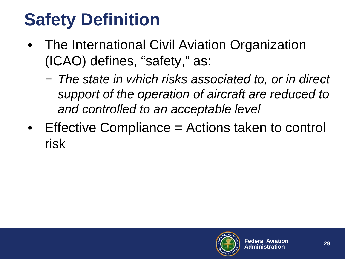#### **Safety Definition**

- The International Civil Aviation Organization (ICAO) defines, "safety," as:
	- − *The state in which risks associated to, or in direct support of the operation of aircraft are reduced to and controlled to an acceptable level*
- Effective Compliance = Actions taken to control risk

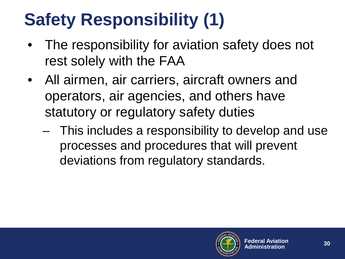## **Safety Responsibility (1)**

- The responsibility for aviation safety does not rest solely with the FAA
- All airmen, air carriers, aircraft owners and operators, air agencies, and others have statutory or regulatory safety duties
	- This includes a responsibility to develop and use processes and procedures that will prevent deviations from regulatory standards.

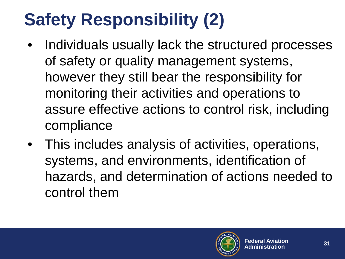## **Safety Responsibility (2)**

- Individuals usually lack the structured processes of safety or quality management systems, however they still bear the responsibility for monitoring their activities and operations to assure effective actions to control risk, including compliance
- This includes analysis of activities, operations, systems, and environments, identification of hazards, and determination of actions needed to control them

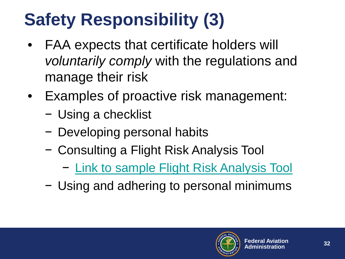## **Safety Responsibility (3)**

- FAA expects that certificate holders will *voluntarily comply* with the regulations and manage their risk
- Examples of proactive risk management:
	- − Using a checklist
	- − Developing personal habits
	- − Consulting a Flight Risk Analysis Tool
		- − [Link to sample Flight Risk Analysis Tool](https://www.faa.gov/news/safety_briefing/2016/media/SE_Topic_16-12.pdf)
	- − Using and adhering to personal minimums

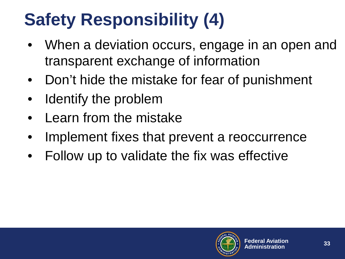## **Safety Responsibility (4)**

- When a deviation occurs, engage in an open and transparent exchange of information
- Don't hide the mistake for fear of punishment
- Identify the problem
- Learn from the mistake
- Implement fixes that prevent a reoccurrence
- Follow up to validate the fix was effective

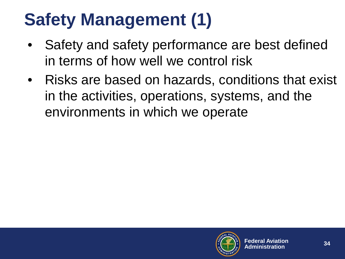#### **Safety Management (1)**

- Safety and safety performance are best defined in terms of how well we control risk
- Risks are based on hazards, conditions that exist in the activities, operations, systems, and the environments in which we operate

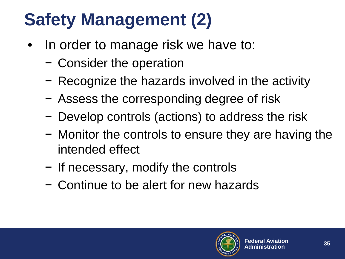## **Safety Management (2)**

- In order to manage risk we have to:
	- − Consider the operation
	- − Recognize the hazards involved in the activity
	- − Assess the corresponding degree of risk
	- − Develop controls (actions) to address the risk
	- − Monitor the controls to ensure they are having the intended effect
	- − If necessary, modify the controls
	- − Continue to be alert for new hazards

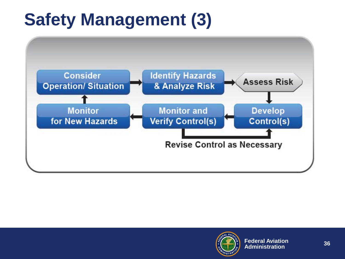#### **Safety Management (3)**



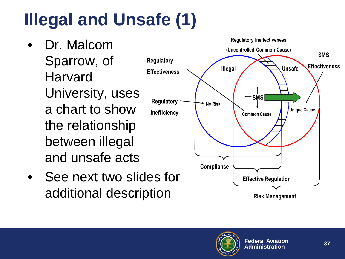# **Illegal and Unsafe (1)**

- Dr. Malcom Sparrow, of Harvard University, uses a chart to show the relationship between illegal and unsafe acts
- See next two slides for additional description



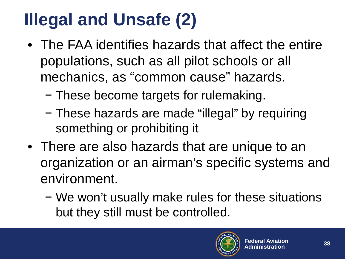#### **Illegal and Unsafe (2)**

- The FAA identifies hazards that affect the entire populations, such as all pilot schools or all mechanics, as "common cause" hazards.
	- − These become targets for rulemaking.
	- − These hazards are made "illegal" by requiring something or prohibiting it
- There are also hazards that are unique to an organization or an airman's specific systems and environment.
	- − We won't usually make rules for these situations but they still must be controlled.

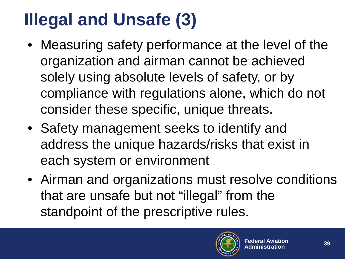## **Illegal and Unsafe (3)**

- Measuring safety performance at the level of the organization and airman cannot be achieved solely using absolute levels of safety, or by compliance with regulations alone, which do not consider these specific, unique threats.
- Safety management seeks to identify and address the unique hazards/risks that exist in each system or environment
- Airman and organizations must resolve conditions that are unsafe but not "illegal" from the standpoint of the prescriptive rules.

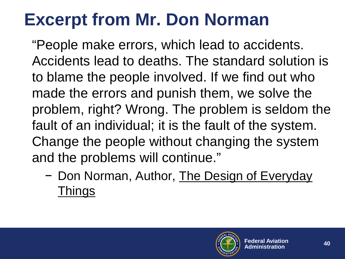#### **Excerpt from Mr. Don Norman**

"People make errors, which lead to accidents. Accidents lead to deaths. The standard solution is to blame the people involved. If we find out who made the errors and punish them, we solve the problem, right? Wrong. The problem is seldom the fault of an individual; it is the fault of the system. Change the people without changing the system and the problems will continue."

− Don Norman, Author, The Design of Everyday **Things** 

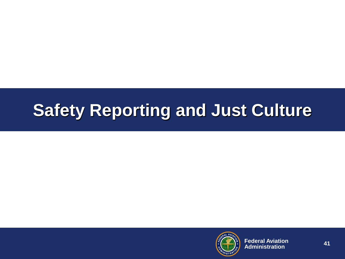#### **Safety Reporting and Just Culture**

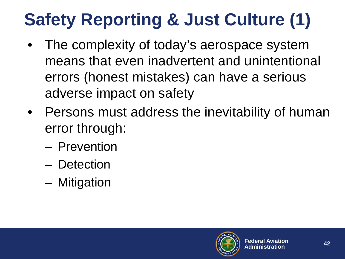# **Safety Reporting & Just Culture (1)**

- The complexity of today's aerospace system means that even inadvertent and unintentional errors (honest mistakes) can have a serious adverse impact on safety
- Persons must address the inevitability of human error through:
	- Prevention
	- Detection
	- Mitigation

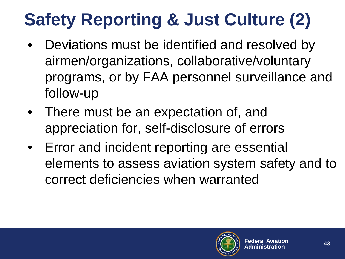# **Safety Reporting & Just Culture (2)**

- Deviations must be identified and resolved by airmen/organizations, collaborative/voluntary programs, or by FAA personnel surveillance and follow-up
- There must be an expectation of, and appreciation for, self-disclosure of errors
- Error and incident reporting are essential elements to assess aviation system safety and to correct deficiencies when warranted

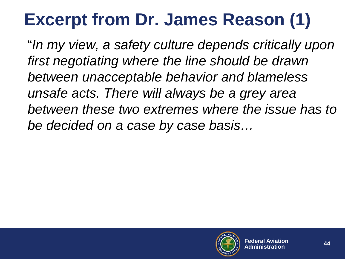#### **Excerpt from Dr. James Reason (1)**

"*In my view, a safety culture depends critically upon first negotiating where the line should be drawn between unacceptable behavior and blameless unsafe acts. There will always be a grey area between these two extremes where the issue has to be decided on a case by case basis…*

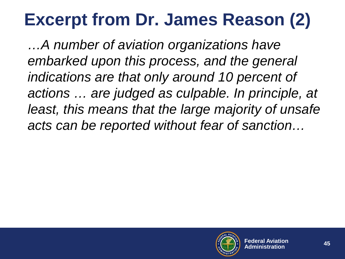#### **Excerpt from Dr. James Reason (2)**

*…A number of aviation organizations have embarked upon this process, and the general indications are that only around 10 percent of actions … are judged as culpable. In principle, at least, this means that the large majority of unsafe acts can be reported without fear of sanction…*

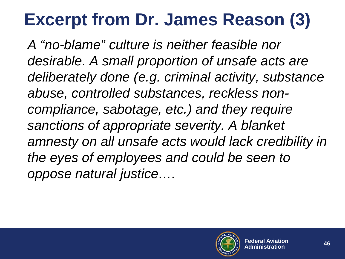#### **Excerpt from Dr. James Reason (3)**

*A "no-blame" culture is neither feasible nor desirable. A small proportion of unsafe acts are deliberately done (e.g. criminal activity, substance abuse, controlled substances, reckless noncompliance, sabotage, etc.) and they require sanctions of appropriate severity. A blanket amnesty on all unsafe acts would lack credibility in the eyes of employees and could be seen to oppose natural justice….*

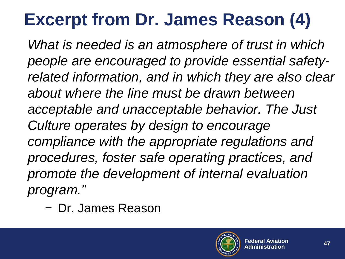#### **Excerpt from Dr. James Reason (4)**

*What is needed is an atmosphere of trust in which people are encouraged to provide essential safetyrelated information, and in which they are also clear about where the line must be drawn between acceptable and unacceptable behavior. The Just Culture operates by design to encourage compliance with the appropriate regulations and procedures, foster safe operating practices, and promote the development of internal evaluation program."*

− Dr. James Reason

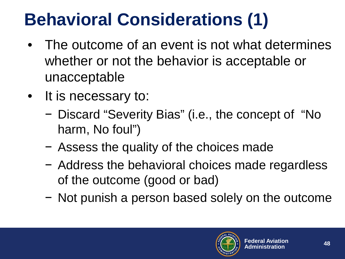### **Behavioral Considerations (1)**

- The outcome of an event is not what determines whether or not the behavior is acceptable or unacceptable
- It is necessary to:
	- − Discard "Severity Bias" (i.e., the concept of "No harm, No foul")
	- − Assess the quality of the choices made
	- − Address the behavioral choices made regardless of the outcome (good or bad)
	- − Not punish a person based solely on the outcome

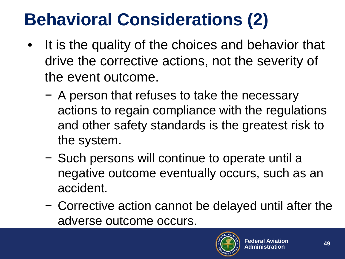### **Behavioral Considerations (2)**

- It is the quality of the choices and behavior that drive the corrective actions, not the severity of the event outcome.
	- − A person that refuses to take the necessary actions to regain compliance with the regulations and other safety standards is the greatest risk to the system.
	- − Such persons will continue to operate until a negative outcome eventually occurs, such as an accident.
	- − Corrective action cannot be delayed until after the adverse outcome occurs.

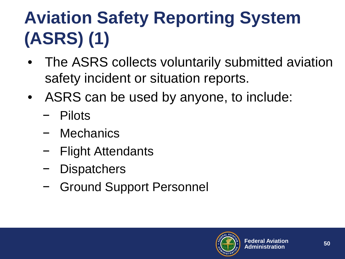# **Aviation Safety Reporting System (ASRS) (1)**

- The ASRS collects voluntarily submitted aviation safety incident or situation reports.
- ASRS can be used by anyone, to include:
	- − Pilots
	- − Mechanics
	- − Flight Attendants
	- − Dispatchers
	- − Ground Support Personnel

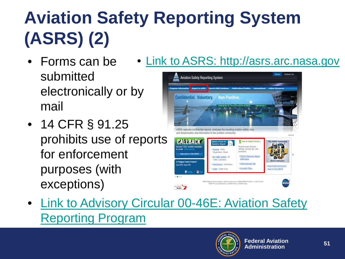# **Aviation Safety Reporting System (ASRS) (2)**

- Forms can be submitted electronically or by mail • [Link to ASRS: http://asrs.arc.nasa.gov](http://asrs.arc.nasa.gov/)
- 14 CFR § 91.25 prohibits use of reports for enforcement purposes (with exceptions)



• [Link to Advisory Circular 00-46E: Aviation Safety](https://www.faa.gov/regulations_policies/advisory_circulars/index.cfm/go/document.information/documentID/1019713) Reporting Program

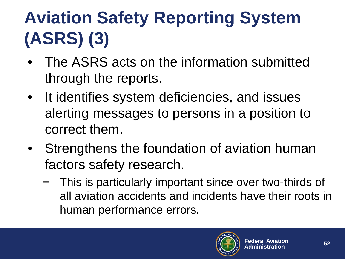# **Aviation Safety Reporting System (ASRS) (3)**

- The ASRS acts on the information submitted through the reports.
- It identifies system deficiencies, and issues alerting messages to persons in a position to correct them.
- Strengthens the foundation of aviation human factors safety research.
	- This is particularly important since over two-thirds of all aviation accidents and incidents have their roots in human performance errors.

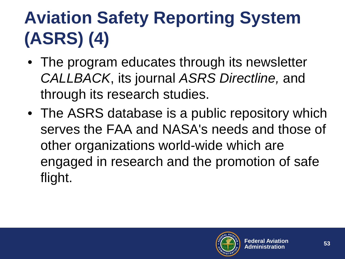# **Aviation Safety Reporting System (ASRS) (4)**

- The program educates through its newsletter *CALLBACK*, its journal *ASRS Directline,* and through its research studies.
- The ASRS database is a public repository which serves the FAA and NASA's needs and those of other organizations world-wide which are engaged in research and the promotion of safe flight.

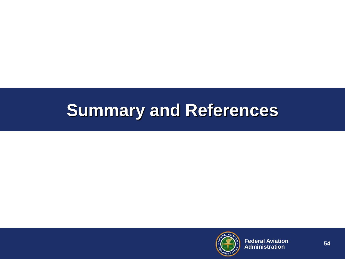#### **Summary and References**

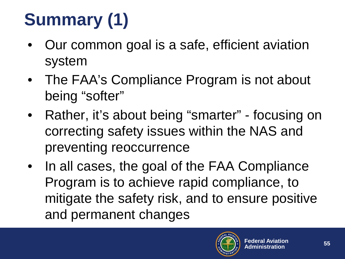# **Summary (1)**

- Our common goal is a safe, efficient aviation system
- The FAA's Compliance Program is not about being "softer"
- Rather, it's about being "smarter" focusing on correcting safety issues within the NAS and preventing reoccurrence
- In all cases, the goal of the FAA Compliance Program is to achieve rapid compliance, to mitigate the safety risk, and to ensure positive and permanent changes

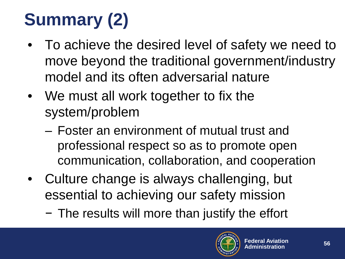# **Summary (2)**

- To achieve the desired level of safety we need to move beyond the traditional government/industry model and its often adversarial nature
- We must all work together to fix the system/problem
	- ‒ Foster an environment of mutual trust and professional respect so as to promote open communication, collaboration, and cooperation
- Culture change is always challenging, but essential to achieving our safety mission
	- − The results will more than justify the effort

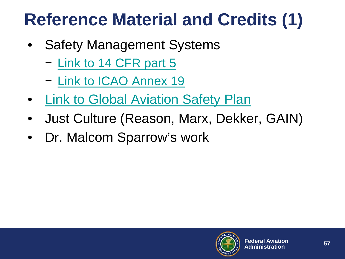#### **Reference Material and Credits (1)**

- Safety Management Systems
	- − [Link to 14 CFR part 5](https://www.ecfr.gov/cgi-bin/text-idx?SID=ce12cd7e475c6d44a22099f5dcfe5c30&mc=true&node=pt14.1.5&rgn=div5)
	- − [Link to ICAO](https://www.faa.gov/about/initiatives/sms/international/#ICAO) Annex 19
- [Link to Global Aviation Safety Plan](http://www.icao.int/safety/SafetyManagement/Pages/GASP.aspx)
- Just Culture (Reason, Marx, Dekker, GAIN)
- Dr. Malcom Sparrow's work

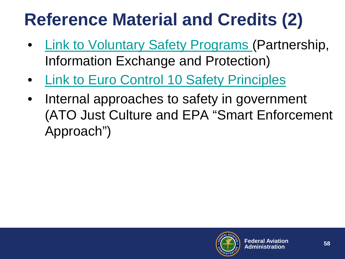#### **Reference Material and Credits (2)**

- [Link to Voluntary Safety Programs \(](https://www.faa.gov/about/initiatives/atos/air_carrier/media/Certification_and_Voluntary_Safety_Programs.pdf)Partnership, Information Exchange and Protection)
- [Link to Euro Control 10 Safety Principles](http://skybrary.aero/bookshelf/books/2882.pdf)
- Internal approaches to safety in government (ATO Just Culture and EPA "Smart Enforcement Approach")